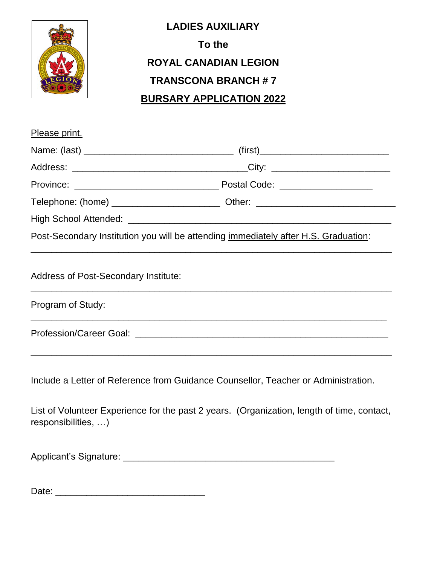

## **LADIES AUXILIARY To the ROYAL CANADIAN LEGION TRANSCONA BRANCH # 7 BURSARY APPLICATION 2022**

| Please print.                               |                                                                                            |
|---------------------------------------------|--------------------------------------------------------------------------------------------|
|                                             |                                                                                            |
|                                             |                                                                                            |
|                                             |                                                                                            |
|                                             |                                                                                            |
|                                             |                                                                                            |
|                                             | Post-Secondary Institution you will be attending immediately after H.S. Graduation:        |
| <b>Address of Post-Secondary Institute:</b> |                                                                                            |
| Program of Study:                           | ,我们也不能在这里的时候,我们也不能在这里的时候,我们也不能在这里的时候,我们也不能会在这里的时候,我们也不能会在这里的时候,我们也不能会在这里的时候,我们也不           |
|                                             |                                                                                            |
|                                             | Include a Letter of Reference from Guidance Counsellor, Teacher or Administration.         |
| responsibilities, )                         | List of Volunteer Experience for the past 2 years. (Organization, length of time, contact, |
|                                             | Applicant's Signature: Management of Applicant's Signature:                                |
| Date:                                       |                                                                                            |